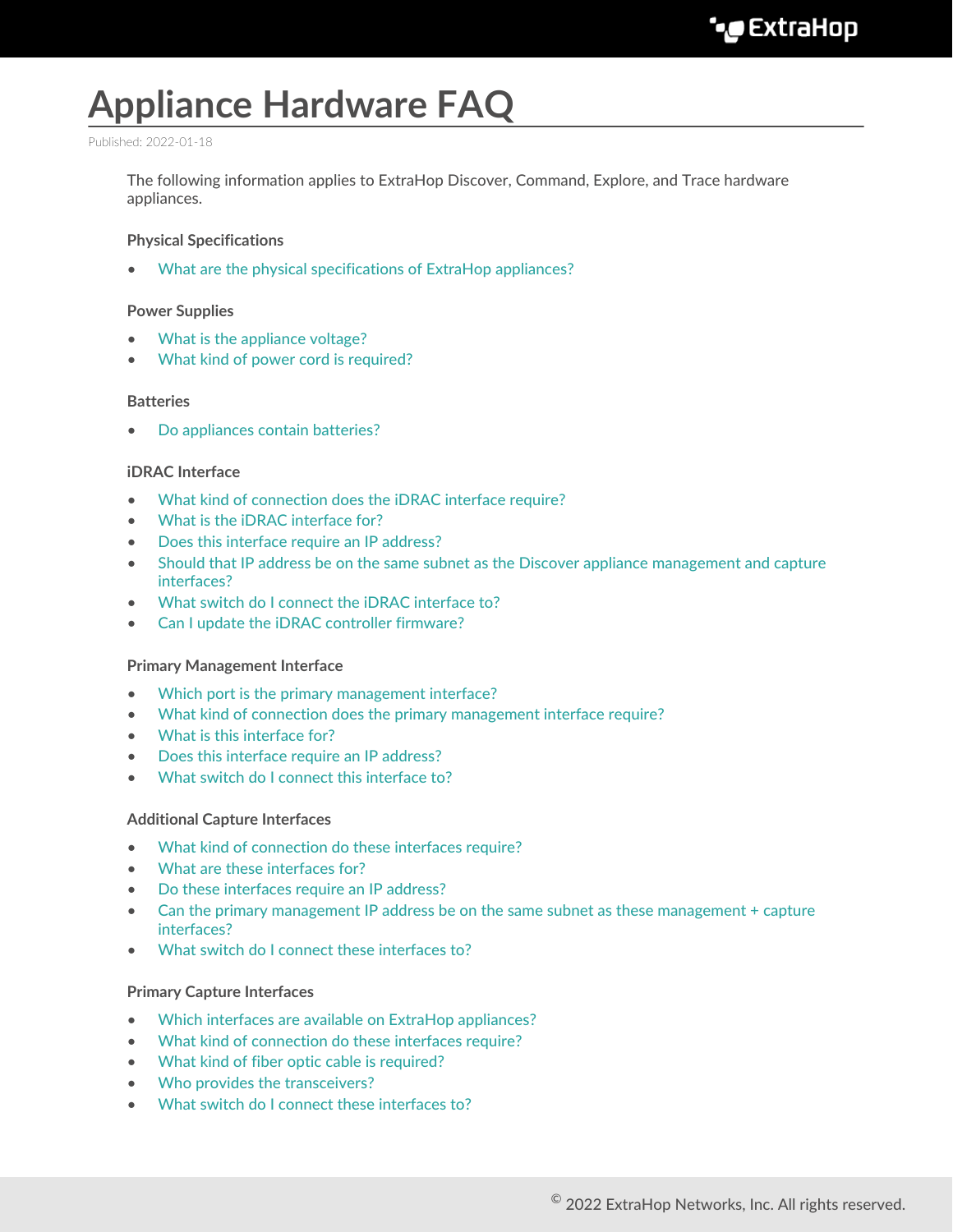# **Appliance Hardware FAQ**

#### Published: 2022-01-18

The following information applies to ExtraHop Discover, Command, Explore, and Trace hardware appliances.

#### **Physical Specifications**

[What are the physical specifications of ExtraHop appliances?](#page-1-0)

#### **Power Supplies**

- [What is the appliance voltage?](#page-1-1)
- [What kind of power cord is required?](#page-1-2)

#### **Batteries**

• [Do appliances contain batteries?](#page-1-3)

#### **iDRAC Interface**

- [What kind of connection does the iDRAC interface require?](#page-1-4)
- [What is the iDRAC interface for?](#page-1-5)
- [Does this interface require an IP address?](#page-1-6)
- [Should that IP address be on the same subnet as the Discover appliance management and capture](#page-2-0) [interfaces?](#page-2-0)
- [What switch do I connect the iDRAC interface to?](#page-2-1)
- [Can I update the iDRAC controller firmware?](#page-2-2)

#### **Primary Management Interface**

- [Which port is the primary management interface?](#page-2-3)
- [What kind of connection does the primary management interface require?](#page-2-4)
- [What is this interface for?](#page-2-5)
- [Does this interface require an IP address?](#page-2-6)
- [What switch do I connect this interface to?](#page-2-7)

#### **Additional Capture Interfaces**

- [What kind of connection do these interfaces require?](#page-2-8)
- [What are these interfaces for?](#page-3-0)
- [Do these interfaces require an IP address?](#page-3-1)
- [Can the primary management IP address be on the same subnet as these management + capture](#page-3-2) [interfaces?](#page-3-2)
- [What switch do I connect these interfaces to?](#page-3-3)

#### **Primary Capture Interfaces**

- [Which interfaces are available on ExtraHop appliances?](#page-3-4)
- [What kind of connection do these interfaces require?](#page-4-0)
- [What kind of fiber optic cable is required?](#page-4-1)
- [Who provides the transceivers?](#page-4-2)
- [What switch do I connect these interfaces to?](#page-4-3)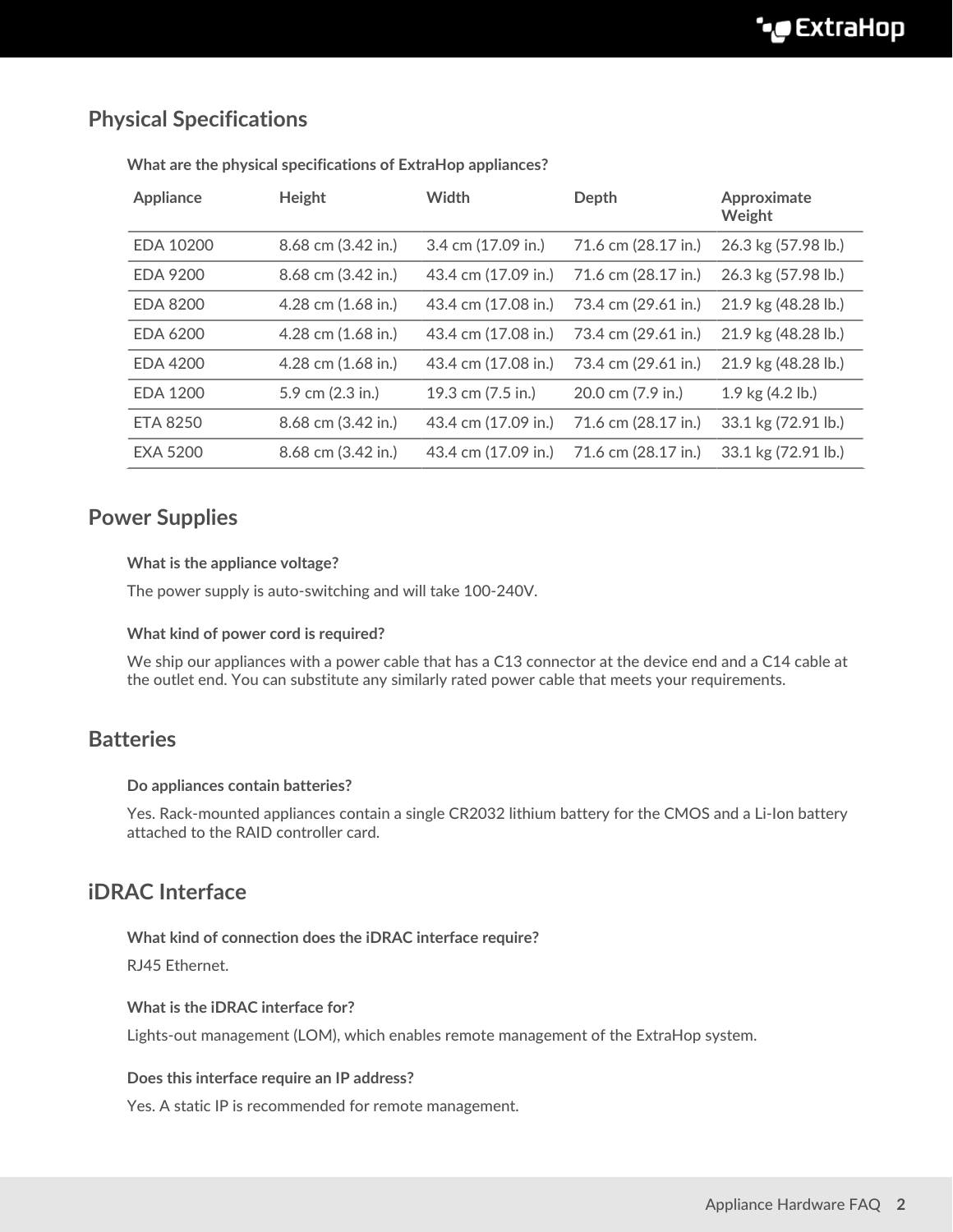## <span id="page-1-0"></span>**Physical Specifications**

| <b>Appliance</b> | Height                 | <b>Width</b>        | Depth               | Approximate<br>Weight      |
|------------------|------------------------|---------------------|---------------------|----------------------------|
| EDA 10200        | 8.68 cm (3.42 in.)     | 3.4 cm (17.09 in.)  | 71.6 cm (28.17 in.) | 26.3 kg (57.98 lb.)        |
| <b>EDA 9200</b>  | 8.68 cm (3.42 in.)     | 43.4 cm (17.09 in.) | 71.6 cm (28.17 in.) | 26.3 kg (57.98 lb.)        |
| <b>EDA 8200</b>  | 4.28 cm (1.68 in.)     | 43.4 cm (17.08 in.) | 73.4 cm (29.61 in.) | 21.9 kg (48.28 lb.)        |
| EDA 6200         | $4.28$ cm $(1.68$ in.) | 43.4 cm (17.08 in.) | 73.4 cm (29.61 in.) | 21.9 kg (48.28 lb.)        |
| <b>EDA 4200</b>  | $4.28$ cm $(1.68$ in.) | 43.4 cm (17.08 in.) | 73.4 cm (29.61 in.) | 21.9 kg (48.28 lb.)        |
| EDA 1200         | 5.9 cm (2.3 in.)       | 19.3 cm (7.5 in.)   | 20.0 cm (7.9 in.)   | 1.9 kg $(4.2 \text{ lb.})$ |
| <b>ETA 8250</b>  | 8.68 cm (3.42 in.)     | 43.4 cm (17.09 in.) | 71.6 cm (28.17 in.) | 33.1 kg (72.91 lb.)        |
| <b>EXA 5200</b>  | 8.68 cm (3.42 in.)     | 43.4 cm (17.09 in.) | 71.6 cm (28.17 in.) | 33.1 kg (72.91 lb.)        |

#### **What are the physical specifications of ExtraHop appliances?**

## <span id="page-1-1"></span>**Power Supplies**

#### **What is the appliance voltage?**

<span id="page-1-2"></span>The power supply is auto-switching and will take 100-240V.

#### **What kind of power cord is required?**

We ship our appliances with a power cable that has a C13 connector at the device end and a C14 cable at the outlet end. You can substitute any similarly rated power cable that meets your requirements.

## <span id="page-1-3"></span>**Batteries**

#### **Do appliances contain batteries?**

Yes. Rack-mounted appliances contain a single CR2032 lithium battery for the CMOS and a Li-Ion battery attached to the RAID controller card.

## <span id="page-1-4"></span>**iDRAC Interface**

**What kind of connection does the iDRAC interface require?**

<span id="page-1-5"></span>RJ45 Ethernet.

#### **What is the iDRAC interface for?**

<span id="page-1-6"></span>Lights-out management (LOM), which enables remote management of the ExtraHop system.

#### **Does this interface require an IP address?**

Yes. A static IP is recommended for remote management.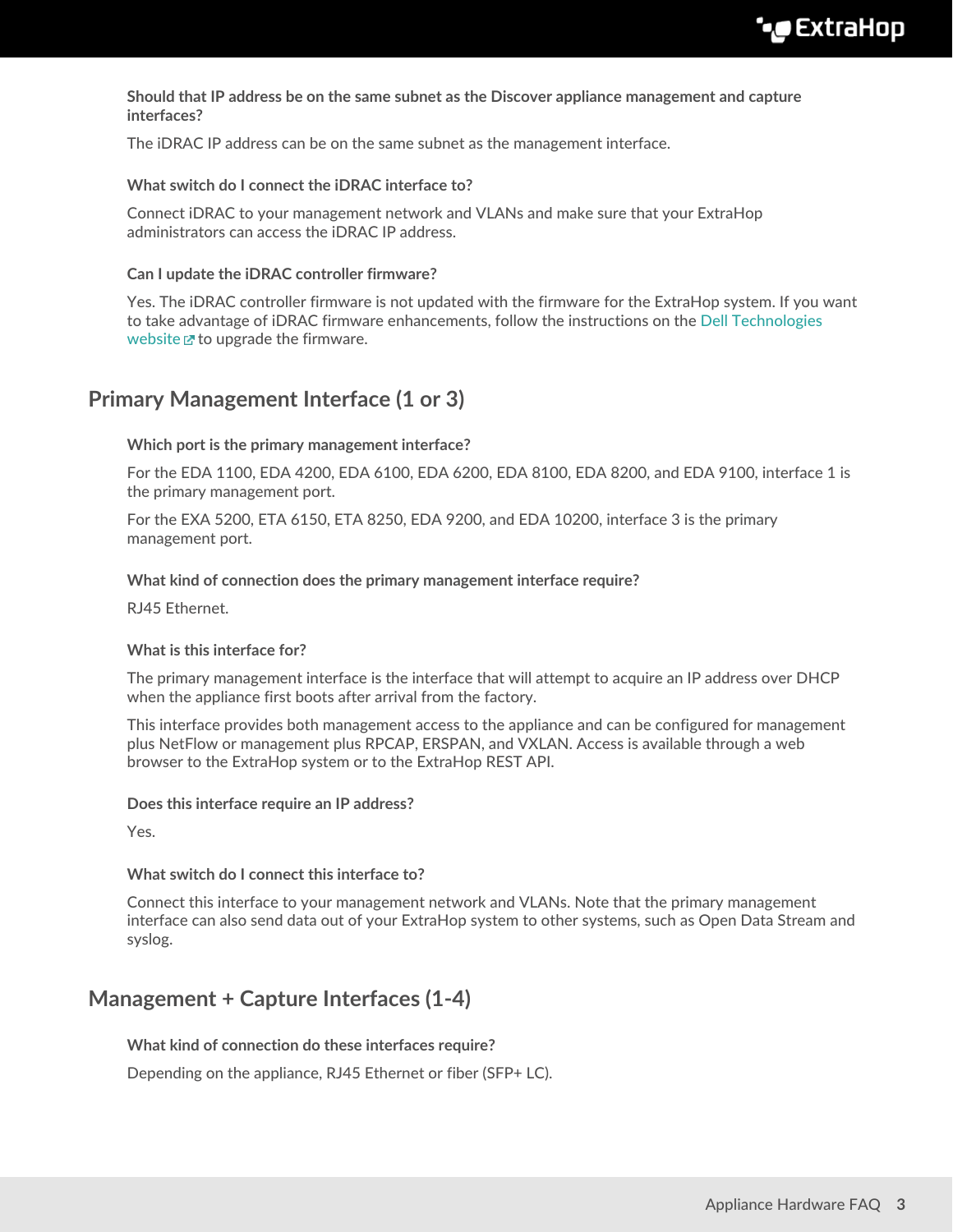#### <span id="page-2-0"></span>**Should that IP address be on the same subnet as the Discover appliance management and capture interfaces?**

<span id="page-2-1"></span>The iDRAC IP address can be on the same subnet as the management interface.

#### **What switch do I connect the iDRAC interface to?**

Connect iDRAC to your management network and VLANs and make sure that your ExtraHop administrators can access the iDRAC IP address.

#### <span id="page-2-2"></span>**Can I update the iDRAC controller firmware?**

Yes. The iDRAC controller firmware is not updated with the firmware for the ExtraHop system. If you want to take advantage of iDRAC firmware enhancements, follow the instructions on the [Dell Technologies](https://www.dell.com/support/article/en-us/sln292363/dell-poweredge-update-the-firmware-of-single-system-components-remotely-using-the-idrac?lang=en) [website](https://www.dell.com/support/article/en-us/sln292363/dell-poweredge-update-the-firmware-of-single-system-components-remotely-using-the-idrac?lang=en)  $\mathbf{r}$  to upgrade the firmware.

### <span id="page-2-3"></span>**Primary Management Interface (1 or 3)**

**Which port is the primary management interface?**

For the EDA 1100, EDA 4200, EDA 6100, EDA 6200, EDA 8100, EDA 8200, and EDA 9100, interface 1 is the primary management port.

For the EXA 5200, ETA 6150, ETA 8250, EDA 9200, and EDA 10200, interface 3 is the primary management port.

#### <span id="page-2-4"></span>**What kind of connection does the primary management interface require?**

<span id="page-2-5"></span>RJ45 Ethernet.

#### **What is this interface for?**

The primary management interface is the interface that will attempt to acquire an IP address over DHCP when the appliance first boots after arrival from the factory.

This interface provides both management access to the appliance and can be configured for management plus NetFlow or management plus RPCAP, ERSPAN, and VXLAN. Access is available through a web browser to the ExtraHop system or to the ExtraHop REST API.

<span id="page-2-6"></span>**Does this interface require an IP address?**

<span id="page-2-7"></span>Yes.

#### **What switch do I connect this interface to?**

Connect this interface to your management network and VLANs. Note that the primary management interface can also send data out of your ExtraHop system to other systems, such as Open Data Stream and syslog.

## <span id="page-2-8"></span>**Management + Capture Interfaces (1-4)**

**What kind of connection do these interfaces require?**

Depending on the appliance, RJ45 Ethernet or fiber (SFP+ LC).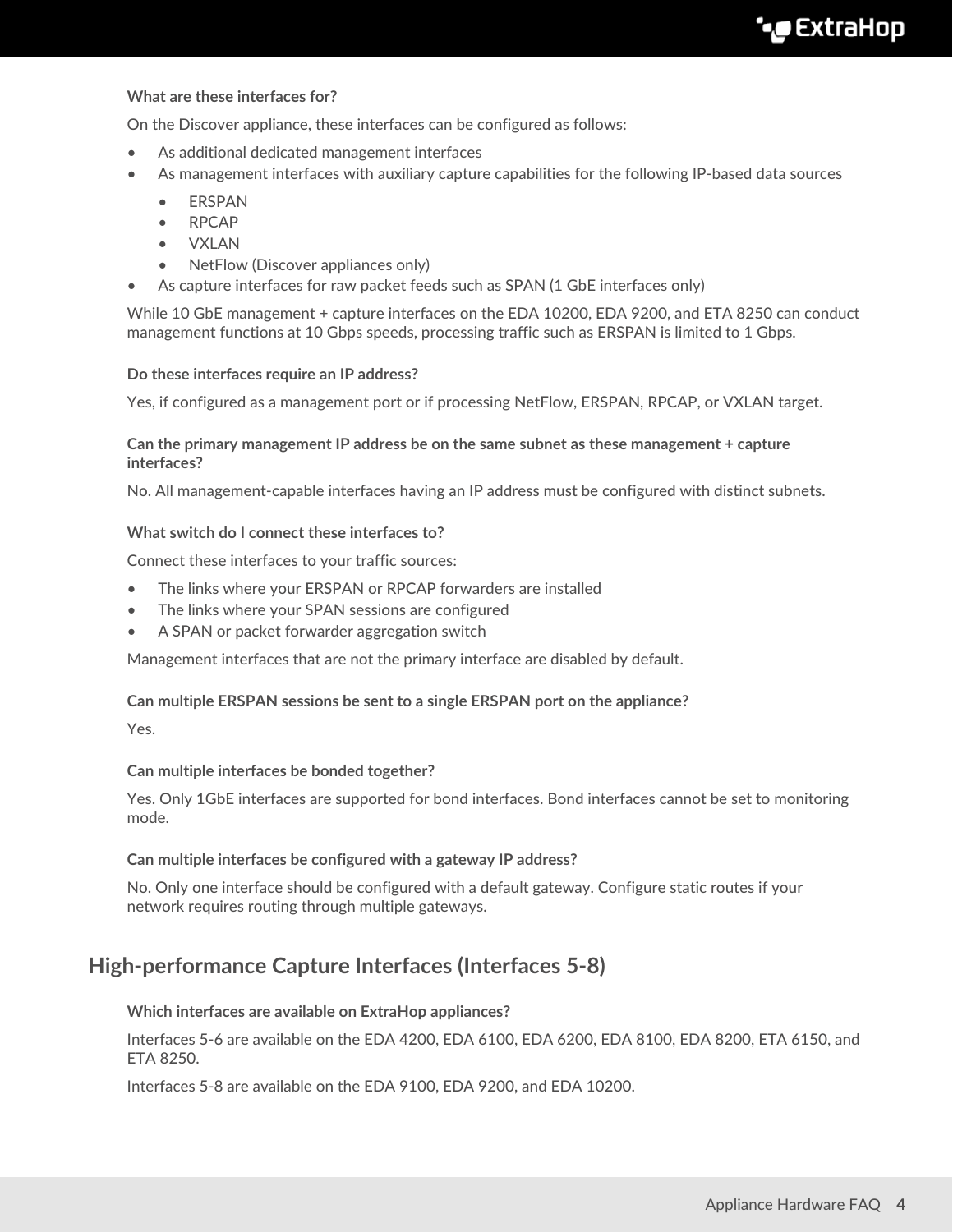## **∙e** ExtraHop

#### <span id="page-3-0"></span>**What are these interfaces for?**

On the Discover appliance, these interfaces can be configured as follows:

- As additional dedicated management interfaces
- As management interfaces with auxiliary capture capabilities for the following IP-based data sources
	- ERSPAN
	- RPCAP
	- VXLAN
	- NetFlow (Discover appliances only)
	- As capture interfaces for raw packet feeds such as SPAN (1 GbE interfaces only)

While 10 GbE management + capture interfaces on the EDA 10200, EDA 9200, and ETA 8250 can conduct management functions at 10 Gbps speeds, processing traffic such as ERSPAN is limited to 1 Gbps.

#### <span id="page-3-1"></span>**Do these interfaces require an IP address?**

<span id="page-3-2"></span>Yes, if configured as a management port or if processing NetFlow, ERSPAN, RPCAP, or VXLAN target.

#### **Can the primary management IP address be on the same subnet as these management + capture interfaces?**

<span id="page-3-3"></span>No. All management-capable interfaces having an IP address must be configured with distinct subnets.

#### **What switch do I connect these interfaces to?**

Connect these interfaces to your traffic sources:

- The links where your ERSPAN or RPCAP forwarders are installed
- The links where your SPAN sessions are configured
- A SPAN or packet forwarder aggregation switch

Management interfaces that are not the primary interface are disabled by default.

#### **Can multiple ERSPAN sessions be sent to a single ERSPAN port on the appliance?**

Yes.

#### **Can multiple interfaces be bonded together?**

Yes. Only 1GbE interfaces are supported for bond interfaces. Bond interfaces cannot be set to monitoring mode.

#### **Can multiple interfaces be configured with a gateway IP address?**

No. Only one interface should be configured with a default gateway. Configure static routes if your network requires routing through multiple gateways.

## <span id="page-3-4"></span>**High-performance Capture Interfaces (Interfaces 5-8)**

#### **Which interfaces are available on ExtraHop appliances?**

Interfaces 5-6 are available on the EDA 4200, EDA 6100, EDA 6200, EDA 8100, EDA 8200, ETA 6150, and ETA 8250.

Interfaces 5-8 are available on the EDA 9100, EDA 9200, and EDA 10200.